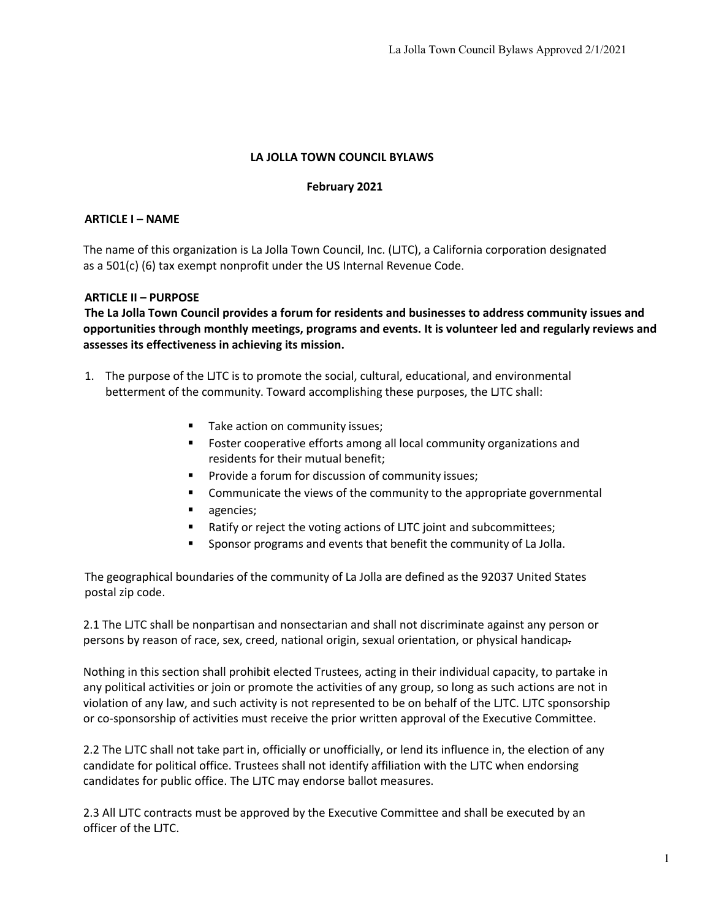## **LA JOLLA TOWN COUNCIL BYLAWS**

#### **February 2021**

### **ARTICLE I – NAME**

The name of this organization is La Jolla Town Council, Inc. (LJTC), a California corporation designated as a 501(c) (6) tax exempt nonprofit under the US Internal Revenue Code.

### **ARTICLE II – PURPOSE**

**The La Jolla Town Council provides a forum for residents and businesses to address community issues and opportunities through monthly meetings, programs and events. It is volunteer led and regularly reviews and assesses its effectiveness in achieving its mission.**

- 1. The purpose of the LJTC is to promote the social, cultural, educational, and environmental betterment of the community. Toward accomplishing these purposes, the LJTC shall:
	- Take action on community issues;
	- Foster cooperative efforts among all local community organizations and residents for their mutual benefit;
	- Provide a forum for discussion of community issues;
	- Communicate the views of the community to the appropriate governmental
	- agencies;
	- Ratify or reject the voting actions of LJTC joint and subcommittees;
	- § Sponsor programs and events that benefit the community of La Jolla.

The geographical boundaries of the community of La Jolla are defined as the 92037 United States postal zip code.

2.1 The LJTC shall be nonpartisan and nonsectarian and shall not discriminate against any person or persons by reason of race, sex, creed, national origin, sexual orientation, or physical handicap.

Nothing in this section shall prohibit elected Trustees, acting in their individual capacity, to partake in any political activities or join or promote the activities of any group, so long as such actions are not in violation of any law, and such activity is not represented to be on behalf of the LJTC. LJTC sponsorship or co-sponsorship of activities must receive the prior written approval of the Executive Committee.

2.2 The LJTC shall not take part in, officially or unofficially, or lend its influence in, the election of any candidate for political office. Trustees shall not identify affiliation with the LJTC when endorsing candidates for public office. The LJTC may endorse ballot measures.

2.3 All LJTC contracts must be approved by the Executive Committee and shall be executed by an officer of the LJTC.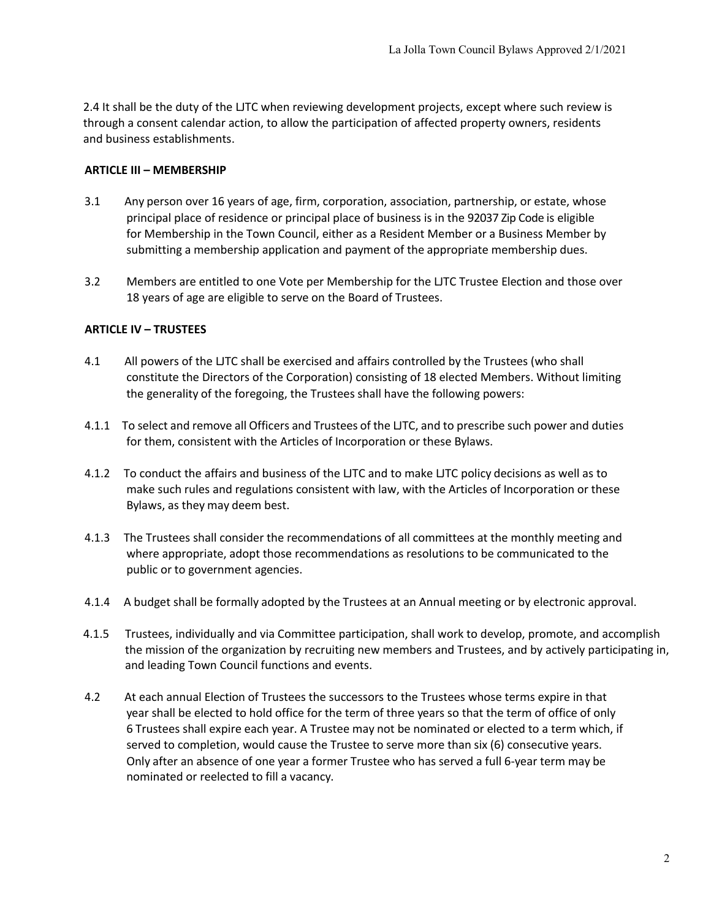2.4 It shall be the duty of the LJTC when reviewing development projects, except where such review is through a consent calendar action, to allow the participation of affected property owners, residents and business establishments.

#### **ARTICLE III – MEMBERSHIP**

- 3.1 Any person over 16 years of age, firm, corporation, association, partnership, or estate, whose principal place of residence or principal place of business is in the 92037 Zip Code is eligible for Membership in the Town Council, either as a Resident Member or a Business Member by submitting a membership application and payment of the appropriate membership dues.
- 3.2 Members are entitled to one Vote per Membership for the LJTC Trustee Election and those over 18 years of age are eligible to serve on the Board of Trustees.

#### **ARTICLE IV – TRUSTEES**

- 4.1 All powers of the LJTC shall be exercised and affairs controlled by the Trustees (who shall constitute the Directors of the Corporation) consisting of 18 elected Members. Without limiting the generality of the foregoing, the Trustees shall have the following powers:
- 4.1.1 To select and remove all Officers and Trustees of the LJTC, and to prescribe such power and duties for them, consistent with the Articles of Incorporation or these Bylaws.
- 4.1.2 To conduct the affairs and business of the LJTC and to make LJTC policy decisions as well as to make such rules and regulations consistent with law, with the Articles of Incorporation or these Bylaws, as they may deem best.
- 4.1.3 The Trustees shall consider the recommendations of all committees at the monthly meeting and where appropriate, adopt those recommendations as resolutions to be communicated to the public or to government agencies.
- 4.1.4 A budget shall be formally adopted by the Trustees at an Annual meeting or by electronic approval.
- 4.1.5 Trustees, individually and via Committee participation, shall work to develop, promote, and accomplish the mission of the organization by recruiting new members and Trustees, and by actively participating in, and leading Town Council functions and events.
- 4.2 At each annual Election of Trustees the successors to the Trustees whose terms expire in that year shall be elected to hold office for the term of three years so that the term of office of only 6 Trustees shall expire each year. A Trustee may not be nominated or elected to a term which, if served to completion, would cause the Trustee to serve more than six (6) consecutive years. Only after an absence of one year a former Trustee who has served a full 6-year term may be nominated or reelected to fill a vacancy.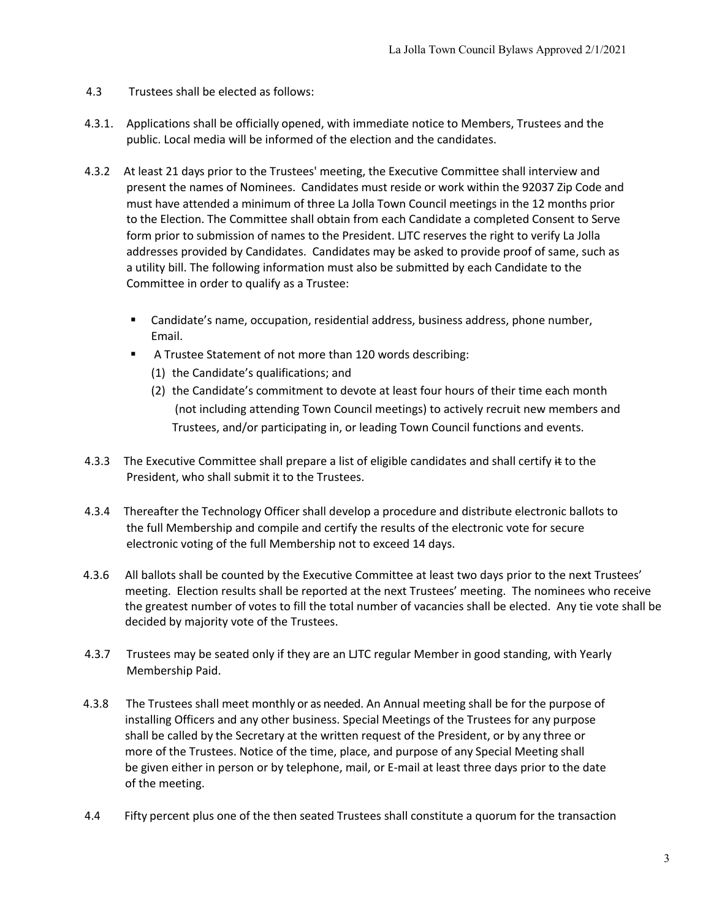- 4.3 Trustees shall be elected as follows:
- 4.3.1. Applications shall be officially opened, with immediate notice to Members, Trustees and the public. Local media will be informed of the election and the candidates.
- 4.3.2 At least 21 days prior to the Trustees' meeting, the Executive Committee shall interview and present the names of Nominees. Candidates must reside or work within the 92037 Zip Code and must have attended a minimum of three La Jolla Town Council meetings in the 12 months prior to the Election. The Committee shall obtain from each Candidate a completed Consent to Serve form prior to submission of names to the President. LJTC reserves the right to verify La Jolla addresses provided by Candidates. Candidates may be asked to provide proof of same, such as a utility bill. The following information must also be submitted by each Candidate to the Committee in order to qualify as a Trustee:
	- Candidate's name, occupation, residential address, business address, phone number, Email.
	- § A Trustee Statement of not more than 120 words describing:
		- (1) the Candidate's qualifications; and
		- (2) the Candidate's commitment to devote at least four hours of their time each month (not including attending Town Council meetings) to actively recruit new members and Trustees, and/or participating in, or leading Town Council functions and events.
- 4.3.3 The Executive Committee shall prepare a list of eligible candidates and shall certify  $\#$  to the President, who shall submit it to the Trustees.
- 4.3.4 Thereafter the Technology Officer shall develop a procedure and distribute electronic ballots to the full Membership and compile and certify the results of the electronic vote for secure electronic voting of the full Membership not to exceed 14 days.
- 4.3.6 All ballots shall be counted by the Executive Committee at least two days prior to the next Trustees' meeting. Election results shall be reported at the next Trustees' meeting. The nominees who receive the greatest number of votes to fill the total number of vacancies shall be elected. Any tie vote shall be decided by majority vote of the Trustees.
- 4.3.7 Trustees may be seated only if they are an LJTC regular Member in good standing, with Yearly Membership Paid.
- 4.3.8 The Trustees shall meet monthly or as needed. An Annual meeting shall be for the purpose of installing Officers and any other business. Special Meetings of the Trustees for any purpose shall be called by the Secretary at the written request of the President, or by any three or more of the Trustees. Notice of the time, place, and purpose of any Special Meeting shall be given either in person or by telephone, mail, or E-mail at least three days prior to the date of the meeting.
- 4.4 Fifty percent plus one of the then seated Trustees shall constitute a quorum for the transaction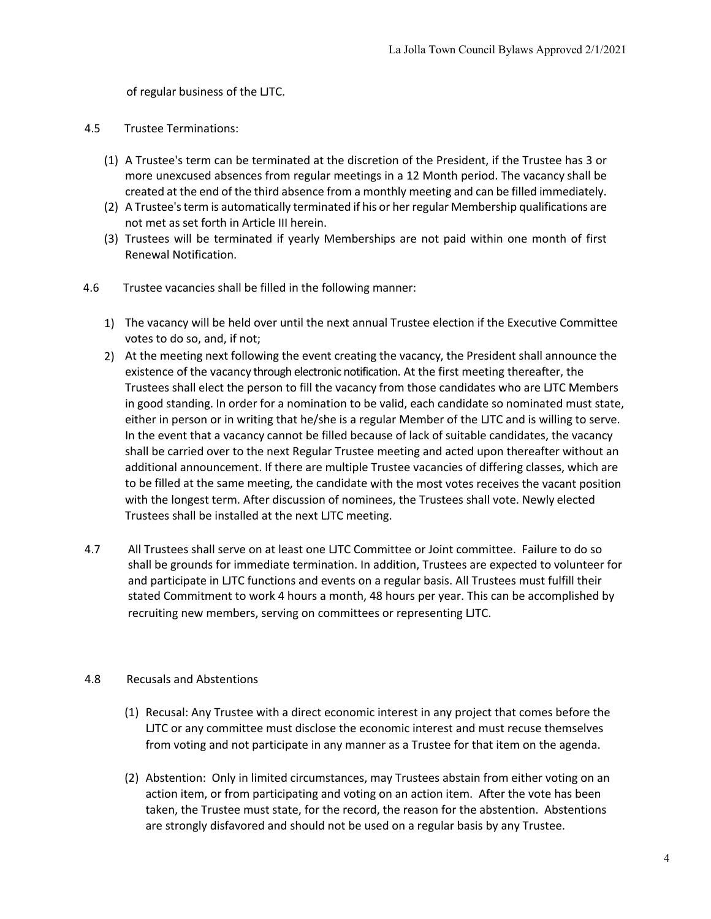of regular business of the LJTC.

#### 4.5 Trustee Terminations:

- (1) A Trustee's term can be terminated at the discretion of the President, if the Trustee has 3 or more unexcused absences from regular meetings in a 12 Month period. The vacancy shall be created at the end of the third absence from a monthly meeting and can be filled immediately.
- (2) A Trustee's term is automatically terminated if his or her regular Membership qualifications are not met as set forth in Article III herein.
- (3) Trustees will be terminated if yearly Memberships are not paid within one month of first Renewal Notification.
- 4.6 Trustee vacancies shall be filled in the following manner:
	- 1) The vacancy will be held over until the next annual Trustee election if the Executive Committee votes to do so, and, if not;
	- 2) At the meeting next following the event creating the vacancy, the President shall announce the existence of the vacancy through electronic notification. At the first meeting thereafter, the Trustees shall elect the person to fill the vacancy from those candidates who are LJTC Members in good standing. In order for a nomination to be valid, each candidate so nominated must state, either in person or in writing that he/she is a regular Member of the LJTC and is willing to serve. In the event that a vacancy cannot be filled because of lack of suitable candidates, the vacancy shall be carried over to the next Regular Trustee meeting and acted upon thereafter without an additional announcement. If there are multiple Trustee vacancies of differing classes, which are to be filled at the same meeting, the candidate with the most votes receives the vacant position with the longest term. After discussion of nominees, the Trustees shall vote. Newly elected Trustees shall be installed at the next LJTC meeting.
- 4.7 All Trustees shall serve on at least one LJTC Committee or Joint committee. Failure to do so shall be grounds for immediate termination. In addition, Trustees are expected to volunteer for and participate in LJTC functions and events on a regular basis. All Trustees must fulfill their stated Commitment to work 4 hours a month, 48 hours per year. This can be accomplished by recruiting new members, serving on committees or representing LJTC.

### 4.8 Recusals and Abstentions

- (1) Recusal: Any Trustee with a direct economic interest in any project that comes before the LJTC or any committee must disclose the economic interest and must recuse themselves from voting and not participate in any manner as a Trustee for that item on the agenda.
- (2) Abstention: Only in limited circumstances, may Trustees abstain from either voting on an action item, or from participating and voting on an action item. After the vote has been taken, the Trustee must state, for the record, the reason for the abstention. Abstentions are strongly disfavored and should not be used on a regular basis by any Trustee.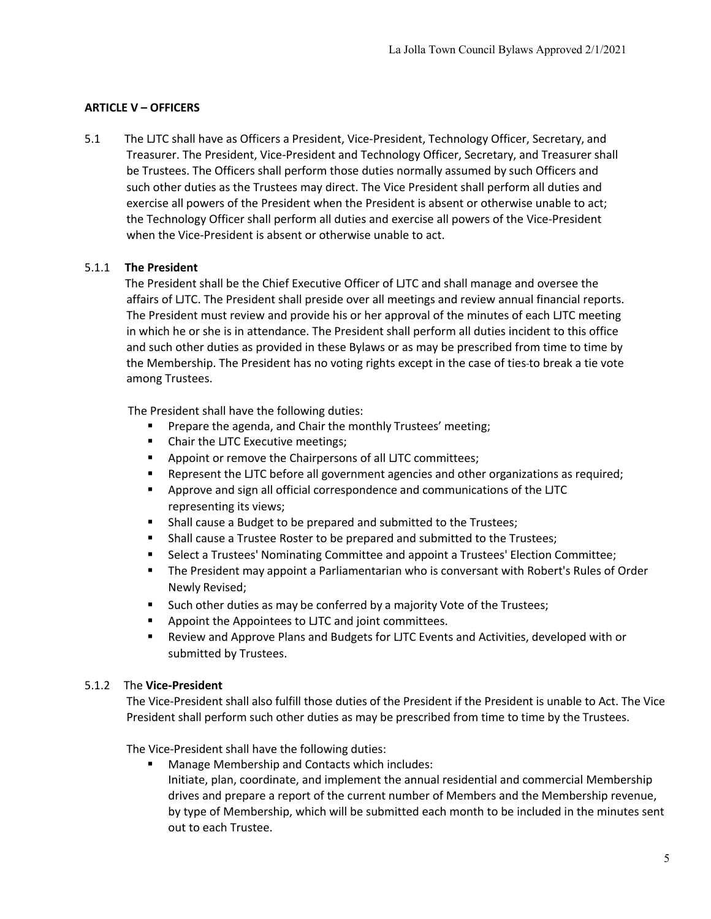# **ARTICLE V – OFFICERS**

5.1 The LJTC shall have as Officers a President, Vice-President, Technology Officer, Secretary, and Treasurer. The President, Vice-President and Technology Officer, Secretary, and Treasurer shall be Trustees. The Officers shall perform those duties normally assumed by such Officers and such other duties as the Trustees may direct. The Vice President shall perform all duties and exercise all powers of the President when the President is absent or otherwise unable to act; the Technology Officer shall perform all duties and exercise all powers of the Vice-President when the Vice-President is absent or otherwise unable to act.

## 5.1.1 **The President**

The President shall be the Chief Executive Officer of LJTC and shall manage and oversee the affairs of LJTC. The President shall preside over all meetings and review annual financial reports. The President must review and provide his or her approval of the minutes of each LJTC meeting in which he or she is in attendance. The President shall perform all duties incident to this office and such other duties as provided in these Bylaws or as may be prescribed from time to time by the Membership. The President has no voting rights except in the case of ties to break a tie vote among Trustees.

The President shall have the following duties:

- Prepare the agenda, and Chair the monthly Trustees' meeting;
- § Chair the LJTC Executive meetings;
- Appoint or remove the Chairpersons of all LJTC committees;
- Represent the LJTC before all government agencies and other organizations as required;
- § Approve and sign all official correspondence and communications of the LJTC representing its views;
- Shall cause a Budget to be prepared and submitted to the Trustees;
- § Shall cause a Trustee Roster to be prepared and submitted to the Trustees;
- Select a Trustees' Nominating Committee and appoint a Trustees' Election Committee;
- The President may appoint a Parliamentarian who is conversant with Robert's Rules of Order Newly Revised;
- Such other duties as may be conferred by a majority Vote of the Trustees;
- Appoint the Appointees to LJTC and joint committees.
- Review and Approve Plans and Budgets for LJTC Events and Activities, developed with or submitted by Trustees.

# 5.1.2 The **Vice-President**

The Vice-President shall also fulfill those duties of the President if the President is unable to Act. The Vice President shall perform such other duties as may be prescribed from time to time by the Trustees.

The Vice-President shall have the following duties:

- § Manage Membership and Contacts which includes:
	- Initiate, plan, coordinate, and implement the annual residential and commercial Membership drives and prepare a report of the current number of Members and the Membership revenue, by type of Membership, which will be submitted each month to be included in the minutes sent out to each Trustee.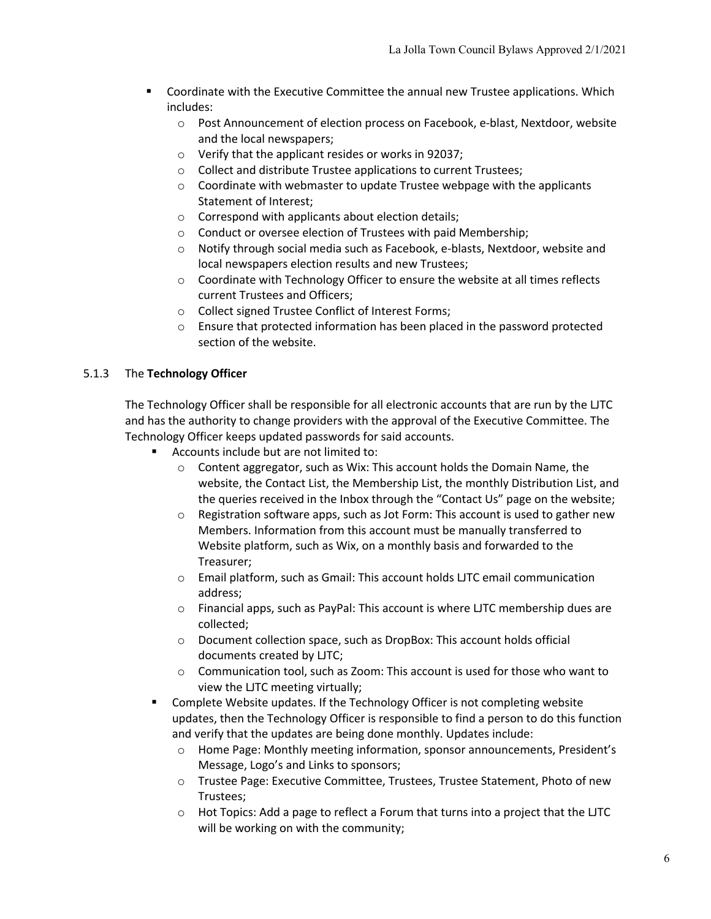- Coordinate with the Executive Committee the annual new Trustee applications. Which includes:
	- o Post Announcement of election process on Facebook, e-blast, Nextdoor, website and the local newspapers;
	- o Verify that the applicant resides or works in 92037;
	- o Collect and distribute Trustee applications to current Trustees;
	- o Coordinate with webmaster to update Trustee webpage with the applicants Statement of Interest;
	- o Correspond with applicants about election details;
	- o Conduct or oversee election of Trustees with paid Membership;
	- o Notify through social media such as Facebook, e-blasts, Nextdoor, website and local newspapers election results and new Trustees;
	- $\circ$  Coordinate with Technology Officer to ensure the website at all times reflects current Trustees and Officers;
	- o Collect signed Trustee Conflict of Interest Forms;
	- $\circ$  Ensure that protected information has been placed in the password protected section of the website.

## 5.1.3 The **Technology Officer**

The Technology Officer shall be responsible for all electronic accounts that are run by the LJTC and has the authority to change providers with the approval of the Executive Committee. The Technology Officer keeps updated passwords for said accounts.

- § Accounts include but are not limited to:
	- $\circ$  Content aggregator, such as Wix: This account holds the Domain Name, the website, the Contact List, the Membership List, the monthly Distribution List, and the queries received in the Inbox through the "Contact Us" page on the website;
	- $\circ$  Registration software apps, such as Jot Form: This account is used to gather new Members. Information from this account must be manually transferred to Website platform, such as Wix, on a monthly basis and forwarded to the Treasurer;
	- o Email platform, such as Gmail: This account holds LJTC email communication address;
	- $\circ$  Financial apps, such as PayPal: This account is where LJTC membership dues are collected;
	- o Document collection space, such as DropBox: This account holds official documents created by LJTC;
	- o Communication tool, such as Zoom: This account is used for those who want to view the LJTC meeting virtually;
- Complete Website updates. If the Technology Officer is not completing website updates, then the Technology Officer is responsible to find a person to do this function and verify that the updates are being done monthly. Updates include:
	- o Home Page: Monthly meeting information, sponsor announcements, President's Message, Logo's and Links to sponsors;
	- o Trustee Page: Executive Committee, Trustees, Trustee Statement, Photo of new Trustees;
	- $\circ$  Hot Topics: Add a page to reflect a Forum that turns into a project that the LJTC will be working on with the community;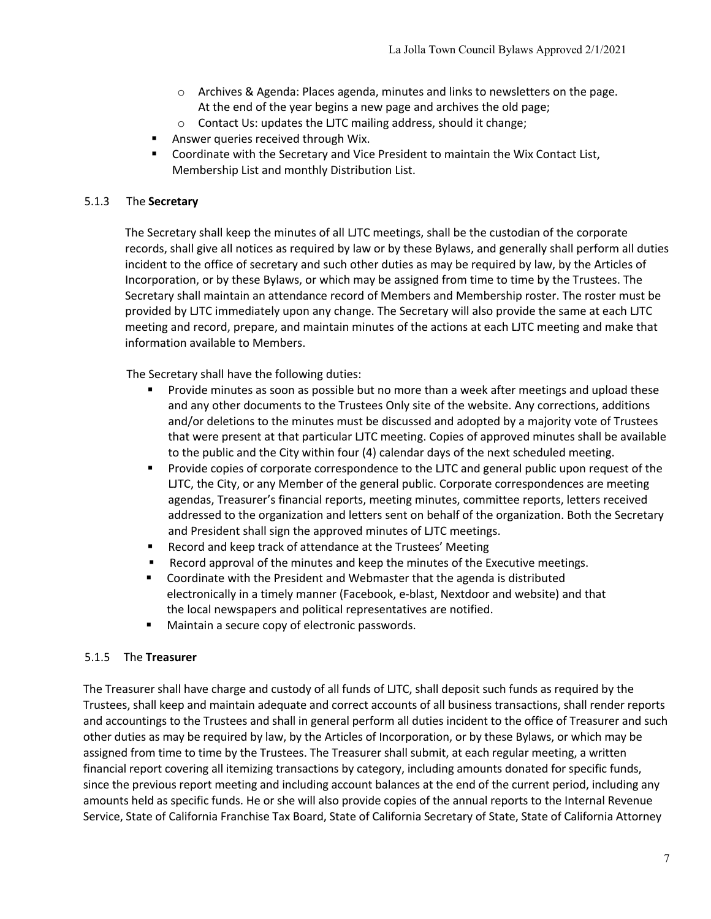- $\circ$  Archives & Agenda: Places agenda, minutes and links to newsletters on the page. At the end of the year begins a new page and archives the old page;
- o Contact Us: updates the LJTC mailing address, should it change;
- § Answer queries received through Wix.
- § Coordinate with the Secretary and Vice President to maintain the Wix Contact List, Membership List and monthly Distribution List.

## 5.1.3 The **Secretary**

The Secretary shall keep the minutes of all LJTC meetings, shall be the custodian of the corporate records, shall give all notices as required by law or by these Bylaws, and generally shall perform all duties incident to the office of secretary and such other duties as may be required by law, by the Articles of Incorporation, or by these Bylaws, or which may be assigned from time to time by the Trustees. The Secretary shall maintain an attendance record of Members and Membership roster. The roster must be provided by LJTC immediately upon any change. The Secretary will also provide the same at each LJTC meeting and record, prepare, and maintain minutes of the actions at each LJTC meeting and make that information available to Members.

The Secretary shall have the following duties:

- § Provide minutes as soon as possible but no more than a week after meetings and upload these and any other documents to the Trustees Only site of the website. Any corrections, additions and/or deletions to the minutes must be discussed and adopted by a majority vote of Trustees that were present at that particular LJTC meeting. Copies of approved minutes shall be available to the public and the City within four (4) calendar days of the next scheduled meeting.
- Provide copies of corporate correspondence to the LJTC and general public upon request of the LJTC, the City, or any Member of the general public. Corporate correspondences are meeting agendas, Treasurer's financial reports, meeting minutes, committee reports, letters received addressed to the organization and letters sent on behalf of the organization. Both the Secretary and President shall sign the approved minutes of LJTC meetings.
- Record and keep track of attendance at the Trustees' Meeting
- Record approval of the minutes and keep the minutes of the Executive meetings.
- § Coordinate with the President and Webmaster that the agenda is distributed electronically in a timely manner (Facebook, e-blast, Nextdoor and website) and that the local newspapers and political representatives are notified.
- § Maintain a secure copy of electronic passwords.

### 5.1.5 The **Treasurer**

The Treasurer shall have charge and custody of all funds of LJTC, shall deposit such funds as required by the Trustees, shall keep and maintain adequate and correct accounts of all business transactions, shall render reports and accountings to the Trustees and shall in general perform all duties incident to the office of Treasurer and such other duties as may be required by law, by the Articles of Incorporation, or by these Bylaws, or which may be assigned from time to time by the Trustees. The Treasurer shall submit, at each regular meeting, a written financial report covering all itemizing transactions by category, including amounts donated for specific funds, since the previous report meeting and including account balances at the end of the current period, including any amounts held as specific funds. He or she will also provide copies of the annual reports to the Internal Revenue Service, State of California Franchise Tax Board, State of California Secretary of State, State of California Attorney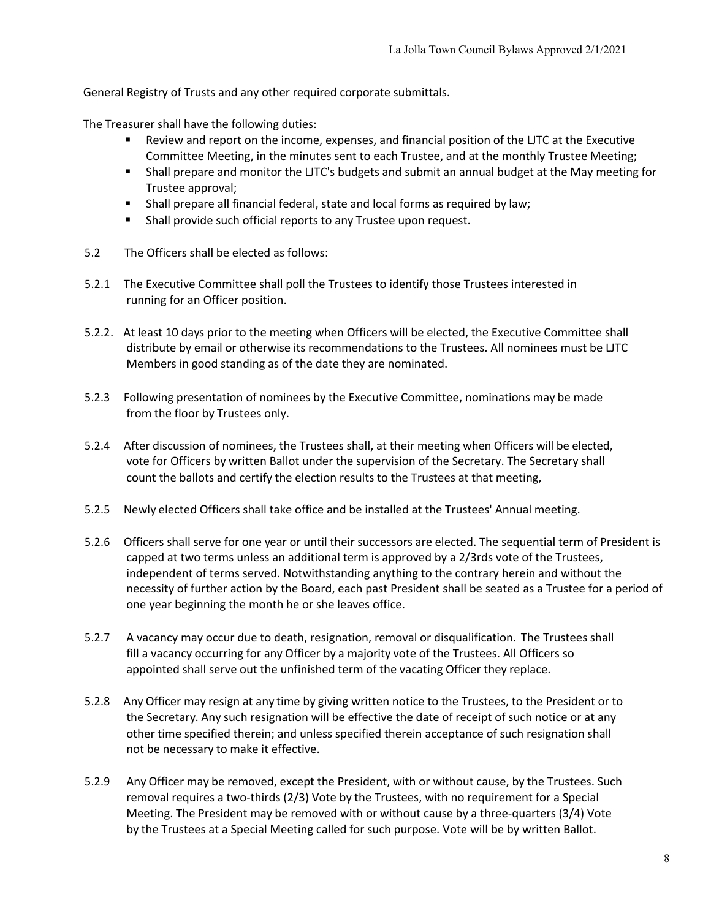General Registry of Trusts and any other required corporate submittals.

The Treasurer shall have the following duties:

- Review and report on the income, expenses, and financial position of the LJTC at the Executive Committee Meeting, in the minutes sent to each Trustee, and at the monthly Trustee Meeting;
- Shall prepare and monitor the LJTC's budgets and submit an annual budget at the May meeting for Trustee approval;
- Shall prepare all financial federal, state and local forms as required by law;
- Shall provide such official reports to any Trustee upon request.
- 5.2 The Officers shall be elected as follows:
- 5.2.1 The Executive Committee shall poll the Trustees to identify those Trustees interested in running for an Officer position.
- 5.2.2. At least 10 days prior to the meeting when Officers will be elected, the Executive Committee shall distribute by email or otherwise its recommendations to the Trustees. All nominees must be LJTC Members in good standing as of the date they are nominated.
- 5.2.3 Following presentation of nominees by the Executive Committee, nominations may be made from the floor by Trustees only.
- 5.2.4 After discussion of nominees, the Trustees shall, at their meeting when Officers will be elected, vote for Officers by written Ballot under the supervision of the Secretary. The Secretary shall count the ballots and certify the election results to the Trustees at that meeting,
- 5.2.5 Newly elected Officers shall take office and be installed at the Trustees' Annual meeting.
- 5.2.6 Officers shall serve for one year or until their successors are elected. The sequential term of President is capped at two terms unless an additional term is approved by a 2/3rds vote of the Trustees, independent of terms served. Notwithstanding anything to the contrary herein and without the necessity of further action by the Board, each past President shall be seated as a Trustee for a period of one year beginning the month he or she leaves office.
- 5.2.7 A vacancy may occur due to death, resignation, removal or disqualification. The Trustees shall fill a vacancy occurring for any Officer by a majority vote of the Trustees. All Officers so appointed shall serve out the unfinished term of the vacating Officer they replace.
- 5.2.8 Any Officer may resign at any time by giving written notice to the Trustees, to the President or to the Secretary. Any such resignation will be effective the date of receipt of such notice or at any other time specified therein; and unless specified therein acceptance of such resignation shall not be necessary to make it effective.
- 5.2.9 Any Officer may be removed, except the President, with or without cause, by the Trustees. Such removal requires a two-thirds (2/3) Vote by the Trustees, with no requirement for a Special Meeting. The President may be removed with or without cause by a three-quarters (3/4) Vote by the Trustees at a Special Meeting called for such purpose. Vote will be by written Ballot.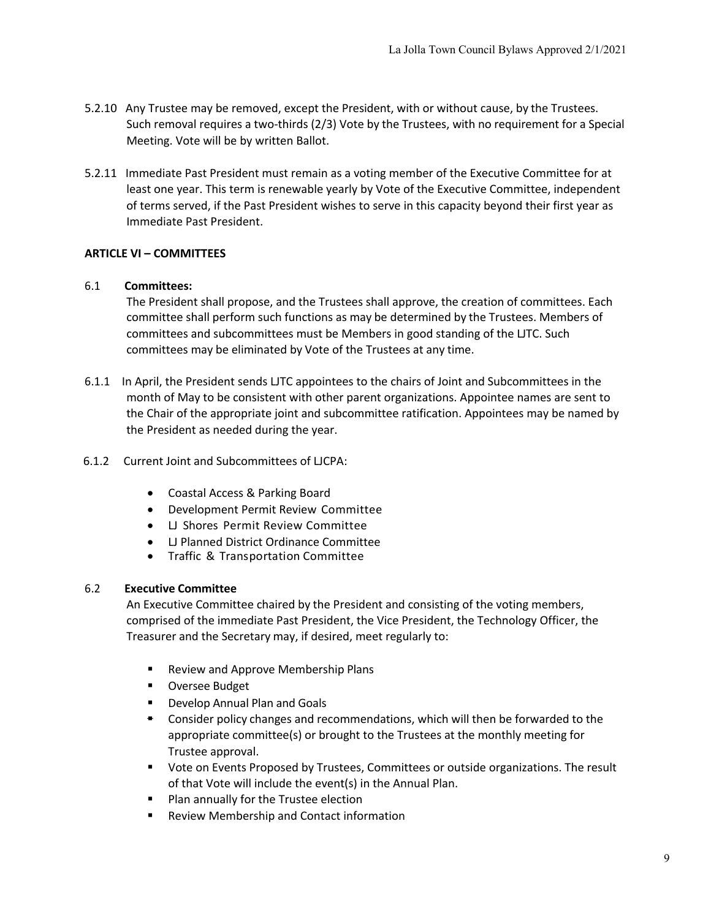- 5.2.10 Any Trustee may be removed, except the President, with or without cause, by the Trustees. Such removal requires a two-thirds (2/3) Vote by the Trustees, with no requirement for a Special Meeting. Vote will be by written Ballot.
- 5.2.11 Immediate Past President must remain as a voting member of the Executive Committee for at least one year. This term is renewable yearly by Vote of the Executive Committee, independent of terms served, if the Past President wishes to serve in this capacity beyond their first year as Immediate Past President.

# **ARTICLE VI – COMMITTEES**

## 6.1 **Committees:**

The President shall propose, and the Trustees shall approve, the creation of committees. Each committee shall perform such functions as may be determined by the Trustees. Members of committees and subcommittees must be Members in good standing of the LJTC. Such committees may be eliminated by Vote of the Trustees at any time.

6.1.1 In April, the President sends LJTC appointees to the chairs of Joint and Subcommittees in the month of May to be consistent with other parent organizations. Appointee names are sent to the Chair of the appropriate joint and subcommittee ratification. Appointees may be named by the President as needed during the year.

### 6.1.2 Current Joint and Subcommittees of LJCPA:

- Coastal Access & Parking Board
- Development Permit Review Committee
- LJ Shores Permit Review Committee
- LJ Planned District Ordinance Committee
- Traffic & Transportation Committee

### 6.2 **Executive Committee**

An Executive Committee chaired by the President and consisting of the voting members, comprised of the immediate Past President, the Vice President, the Technology Officer, the Treasurer and the Secretary may, if desired, meet regularly to:

- Review and Approve Membership Plans
- Oversee Budget
- § Develop Annual Plan and Goals
- <sup> $\bullet$ </sup> Consider policy changes and recommendations, which will then be forwarded to the appropriate committee(s) or brought to the Trustees at the monthly meeting for Trustee approval.
- Vote on Events Proposed by Trustees, Committees or outside organizations. The result of that Vote will include the event(s) in the Annual Plan.
- Plan annually for the Trustee election
- § Review Membership and Contact information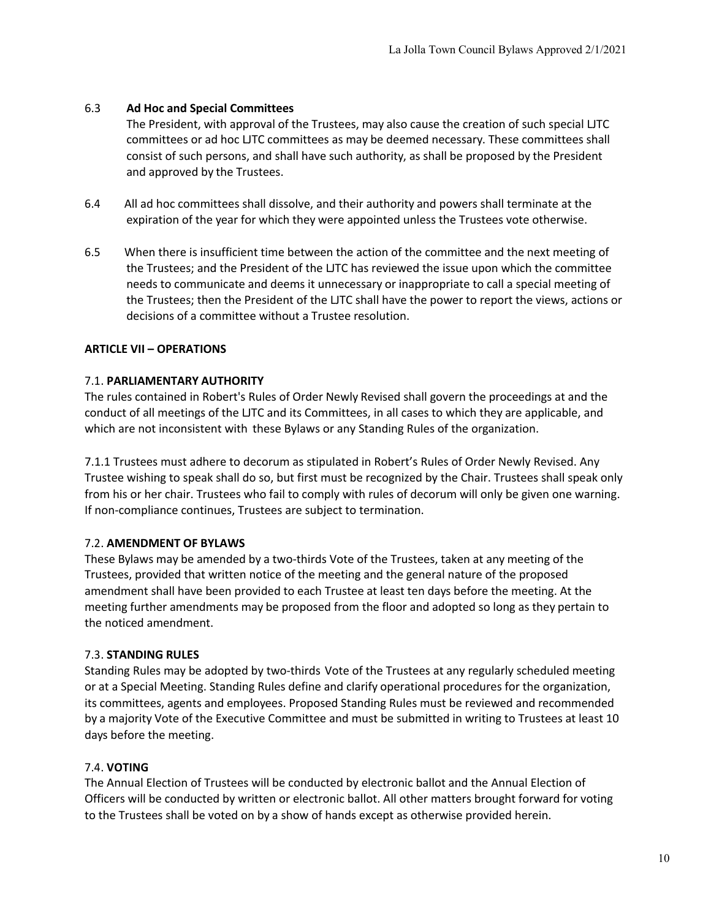# 6.3 **Ad Hoc and Special Committees**

The President, with approval of the Trustees, may also cause the creation of such special LJTC committees or ad hoc LJTC committees as may be deemed necessary. These committees shall consist of such persons, and shall have such authority, as shall be proposed by the President and approved by the Trustees.

- 6.4 All ad hoc committees shall dissolve, and their authority and powers shall terminate at the expiration of the year for which they were appointed unless the Trustees vote otherwise.
- 6.5 When there is insufficient time between the action of the committee and the next meeting of the Trustees; and the President of the LJTC has reviewed the issue upon which the committee needs to communicate and deems it unnecessary or inappropriate to call a special meeting of the Trustees; then the President of the LJTC shall have the power to report the views, actions or decisions of a committee without a Trustee resolution.

## **ARTICLE VII – OPERATIONS**

## 7.1. **PARLIAMENTARY AUTHORITY**

The rules contained in Robert's Rules of Order Newly Revised shall govern the proceedings at and the conduct of all meetings of the LJTC and its Committees, in all cases to which they are applicable, and which are not inconsistent with these Bylaws or any Standing Rules of the organization.

7.1.1 Trustees must adhere to decorum as stipulated in Robert's Rules of Order Newly Revised. Any Trustee wishing to speak shall do so, but first must be recognized by the Chair. Trustees shall speak only from his or her chair. Trustees who fail to comply with rules of decorum will only be given one warning. If non-compliance continues, Trustees are subject to termination.

# 7.2. **AMENDMENT OF BYLAWS**

These Bylaws may be amended by a two-thirds Vote of the Trustees, taken at any meeting of the Trustees, provided that written notice of the meeting and the general nature of the proposed amendment shall have been provided to each Trustee at least ten days before the meeting. At the meeting further amendments may be proposed from the floor and adopted so long as they pertain to the noticed amendment.

# 7.3. **STANDING RULES**

Standing Rules may be adopted by two-thirds Vote of the Trustees at any regularly scheduled meeting or at a Special Meeting. Standing Rules define and clarify operational procedures for the organization, its committees, agents and employees. Proposed Standing Rules must be reviewed and recommended by a majority Vote of the Executive Committee and must be submitted in writing to Trustees at least 10 days before the meeting.

# 7.4. **VOTING**

The Annual Election of Trustees will be conducted by electronic ballot and the Annual Election of Officers will be conducted by written or electronic ballot. All other matters brought forward for voting to the Trustees shall be voted on by a show of hands except as otherwise provided herein.